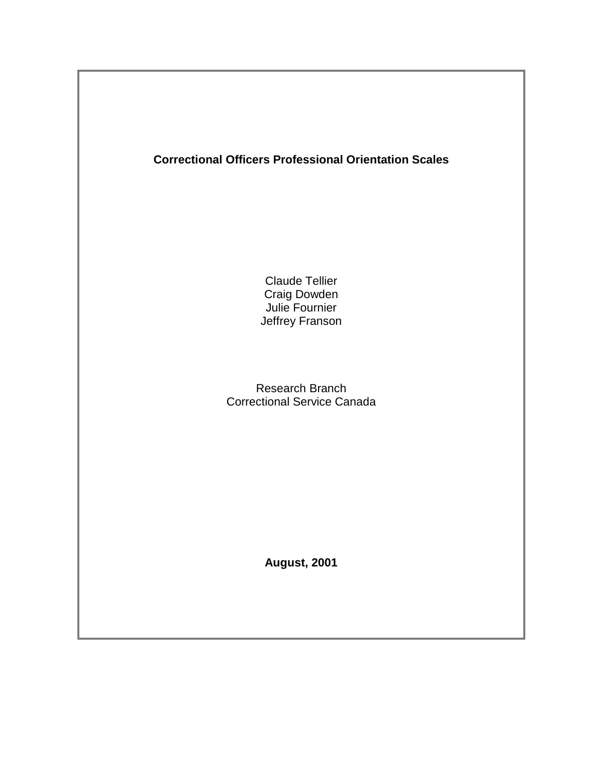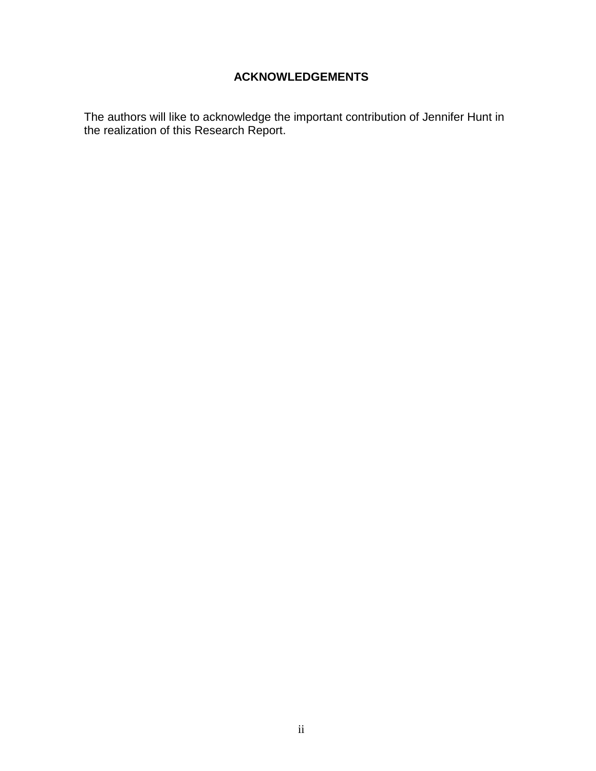## **ACKNOWLEDGEMENTS**

<span id="page-1-0"></span>The authors will like to acknowledge the important contribution of Jennifer Hunt in the realization of this Research Report.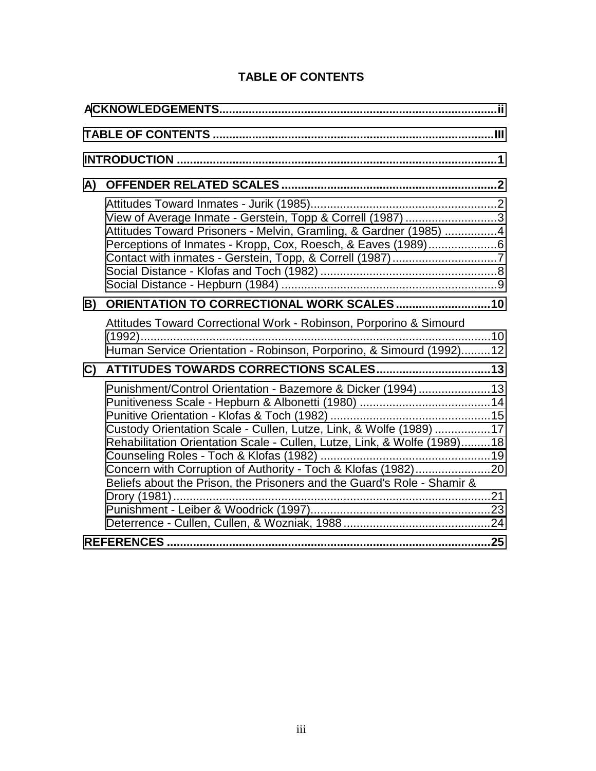| A) |                                                                                                                                                                                                                                                                                                                                                           |  |  |  |  |  |  |
|----|-----------------------------------------------------------------------------------------------------------------------------------------------------------------------------------------------------------------------------------------------------------------------------------------------------------------------------------------------------------|--|--|--|--|--|--|
|    | View of Average Inmate - Gerstein, Topp & Correll (1987) 3<br>Attitudes Toward Prisoners - Melvin, Gramling, & Gardner (1985) 4<br>Perceptions of Inmates - Kropp, Cox, Roesch, & Eaves (1989)6                                                                                                                                                           |  |  |  |  |  |  |
| B) |                                                                                                                                                                                                                                                                                                                                                           |  |  |  |  |  |  |
|    | Attitudes Toward Correctional Work - Robinson, Porporino & Simourd<br>Human Service Orientation - Robinson, Porporino, & Simourd (1992)12                                                                                                                                                                                                                 |  |  |  |  |  |  |
| C) |                                                                                                                                                                                                                                                                                                                                                           |  |  |  |  |  |  |
|    | Punishment/Control Orientation - Bazemore & Dicker (1994)13<br>Custody Orientation Scale - Cullen, Lutze, Link, & Wolfe (1989) 17<br>Rehabilitation Orientation Scale - Cullen, Lutze, Link, & Wolfe (1989)18<br>Concern with Corruption of Authority - Toch & Klofas (1982)20<br>Beliefs about the Prison, the Prisoners and the Guard's Role - Shamir & |  |  |  |  |  |  |
|    |                                                                                                                                                                                                                                                                                                                                                           |  |  |  |  |  |  |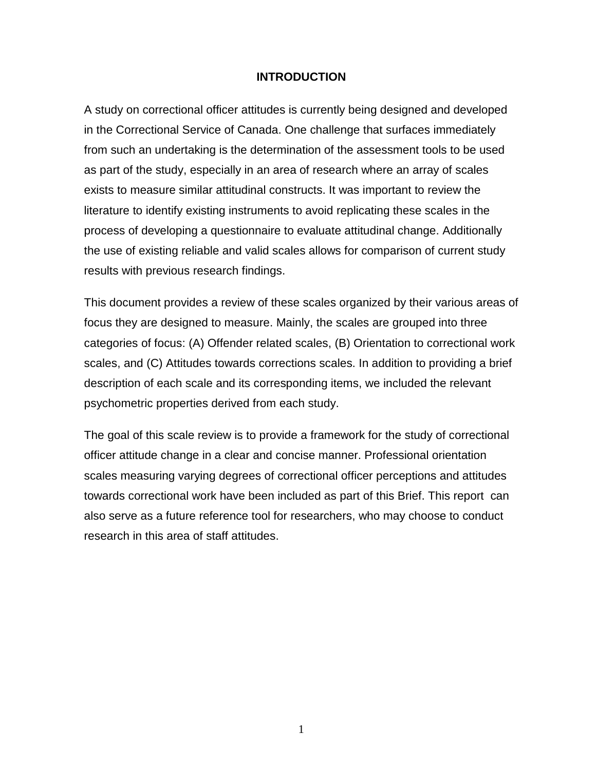#### **INTRODUCTION**

<span id="page-3-0"></span>A study on correctional officer attitudes is currently being designed and developed in the Correctional Service of Canada. One challenge that surfaces immediately from such an undertaking is the determination of the assessment tools to be used as part of the study, especially in an area of research where an array of scales exists to measure similar attitudinal constructs. It was important to review the literature to identify existing instruments to avoid replicating these scales in the process of developing a questionnaire to evaluate attitudinal change. Additionally the use of existing reliable and valid scales allows for comparison of current study results with previous research findings.

This document provides a review of these scales organized by their various areas of focus they are designed to measure. Mainly, the scales are grouped into three categories of focus: (A) Offender related scales, (B) Orientation to correctional work scales, and (C) Attitudes towards corrections scales. In addition to providing a brief description of each scale and its corresponding items, we included the relevant psychometric properties derived from each study.

The goal of this scale review is to provide a framework for the study of correctional officer attitude change in a clear and concise manner. Professional orientation scales measuring varying degrees of correctional officer perceptions and attitudes towards correctional work have been included as part of this Brief. This report can also serve as a future reference tool for researchers, who may choose to conduct research in this area of staff attitudes.

1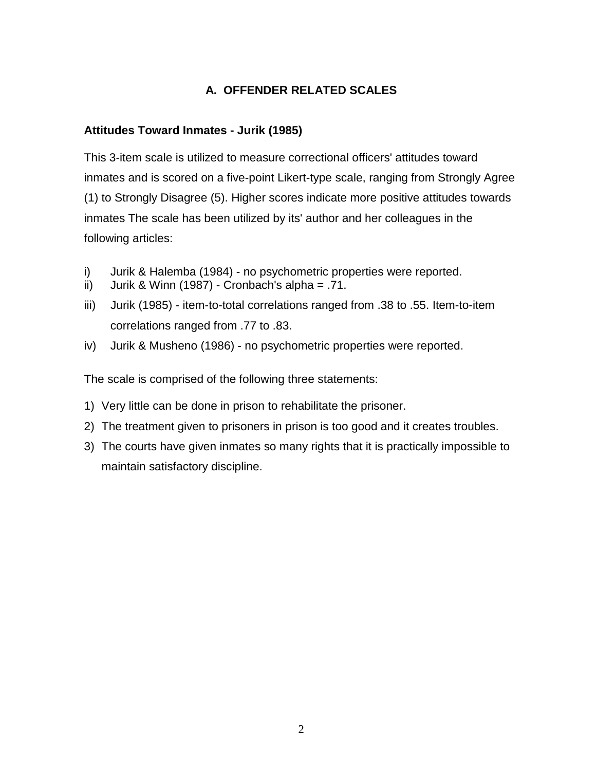# **A. OFFENDER RELATED SCALES**

## <span id="page-4-0"></span>**Attitudes Toward Inmates - Jurik (1985)**

This 3-item scale is utilized to measure correctional officers' attitudes toward inmates and is scored on a five-point Likert-type scale, ranging from Strongly Agree (1) to Strongly Disagree (5). Higher scores indicate more positive attitudes towards inmates The scale has been utilized by its' author and her colleagues in the following articles:

- i) Jurik & Halemba (1984) no psychometric properties were reported.
- ii) Jurik & Winn (1987) Cronbach's alpha =  $.71$ .
- iii) Jurik (1985) item-to-total correlations ranged from .38 to .55. Item-to-item correlations ranged from .77 to .83.
- iv) Jurik & Musheno (1986) no psychometric properties were reported.

The scale is comprised of the following three statements:

- 1) Very little can be done in prison to rehabilitate the prisoner.
- 2) The treatment given to prisoners in prison is too good and it creates troubles.
- 3) The courts have given inmates so many rights that it is practically impossible to maintain satisfactory discipline.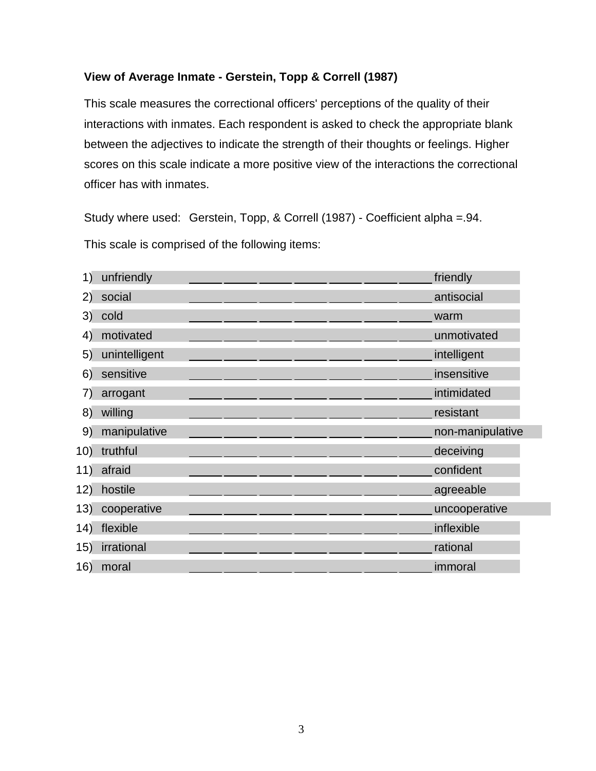## <span id="page-5-0"></span>**View of Average Inmate - Gerstein, Topp & Correll (1987)**

This scale measures the correctional officers' perceptions of the quality of their interactions with inmates. Each respondent is asked to check the appropriate blank between the adjectives to indicate the strength of their thoughts or feelings. Higher scores on this scale indicate a more positive view of the interactions the correctional officer has with inmates.

Study where used: Gerstein, Topp, & Correll (1987) - Coefficient alpha =.94.

| 1)  | unfriendly    |  |  | friendly         |
|-----|---------------|--|--|------------------|
| 2)  | social        |  |  | antisocial       |
| 3)  | cold          |  |  | warm             |
| 4)  | motivated     |  |  | unmotivated      |
| 5)  | unintelligent |  |  | intelligent      |
| 6)  | sensitive     |  |  | insensitive      |
| 7)  | arrogant      |  |  | intimidated      |
| 8)  | willing       |  |  | resistant        |
|     | manipulative  |  |  | non-manipulative |
| 9)  |               |  |  |                  |
| 10) | truthful      |  |  | deceiving        |
| 11) | afraid        |  |  | confident        |
| 12) | hostile       |  |  | agreeable        |
| 13) | cooperative   |  |  | uncooperative    |
| 14) | flexible      |  |  | inflexible       |
| 15) | irrational    |  |  | rational         |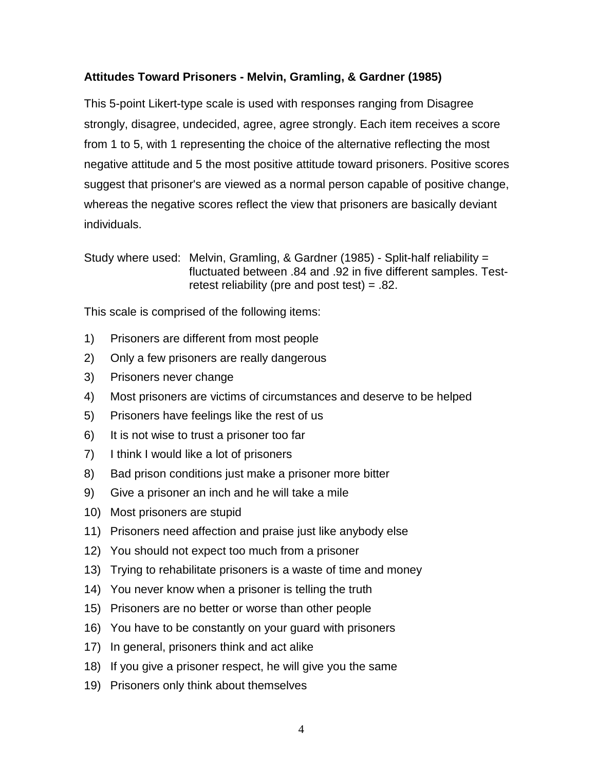### <span id="page-6-0"></span>**Attitudes Toward Prisoners - Melvin, Gramling, & Gardner (1985)**

This 5-point Likert-type scale is used with responses ranging from Disagree strongly, disagree, undecided, agree, agree strongly. Each item receives a score from 1 to 5, with 1 representing the choice of the alternative reflecting the most negative attitude and 5 the most positive attitude toward prisoners. Positive scores suggest that prisoner's are viewed as a normal person capable of positive change, whereas the negative scores reflect the view that prisoners are basically deviant individuals.

Study where used: Melvin, Gramling, & Gardner (1985) - Split-half reliability = fluctuated between .84 and .92 in five different samples. Testretest reliability (pre and post test) = .82.

- 1) Prisoners are different from most people
- 2) Only a few prisoners are really dangerous
- 3) Prisoners never change
- 4) Most prisoners are victims of circumstances and deserve to be helped
- 5) Prisoners have feelings like the rest of us
- 6) It is not wise to trust a prisoner too far
- 7) I think I would like a lot of prisoners
- 8) Bad prison conditions just make a prisoner more bitter
- 9) Give a prisoner an inch and he will take a mile
- 10) Most prisoners are stupid
- 11) Prisoners need affection and praise just like anybody else
- 12) You should not expect too much from a prisoner
- 13) Trying to rehabilitate prisoners is a waste of time and money
- 14) You never know when a prisoner is telling the truth
- 15) Prisoners are no better or worse than other people
- 16) You have to be constantly on your guard with prisoners
- 17) In general, prisoners think and act alike
- 18) If you give a prisoner respect, he will give you the same
- 19) Prisoners only think about themselves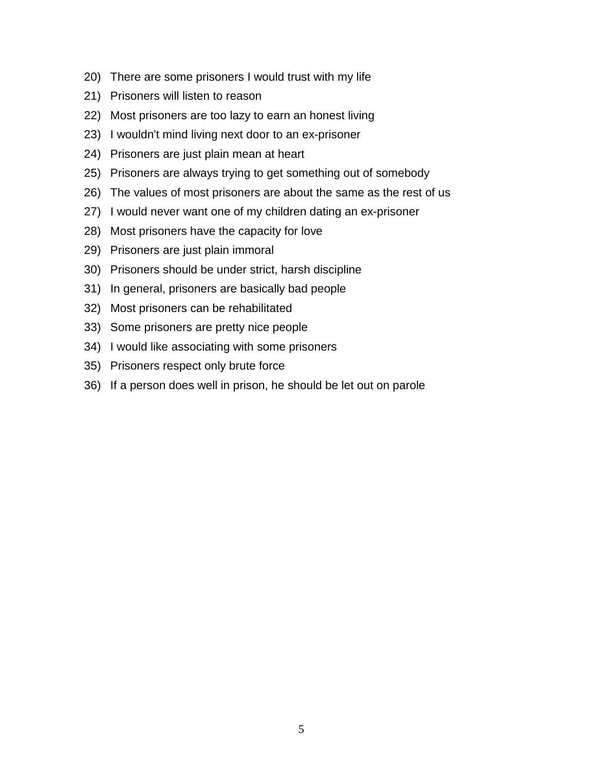- 20) There are some prisoners I would trust with my life
- 21) Prisoners will listen to reason
- 22) Most prisoners are too lazy to earn an honest living
- 23) I wouldn't mind living next door to an ex-prisoner
- 24) Prisoners are just plain mean at heart
- 25) Prisoners are always trying to get something out of somebody
- 26) The values of most prisoners are about the same as the rest of us
- 27) I would never want one of my children dating an ex-prisoner
- 28) Most prisoners have the capacity for love
- 29) Prisoners are just plain immoral
- 30) Prisoners should be under strict, harsh discipline
- 31) In general, prisoners are basically bad people
- 32) Most prisoners can be rehabilitated
- 33) Some prisoners are pretty nice people
- 34) I would like associating with some prisoners
- 35) Prisoners respect only brute force
- 36) If a person does well in prison, he should be let out on parole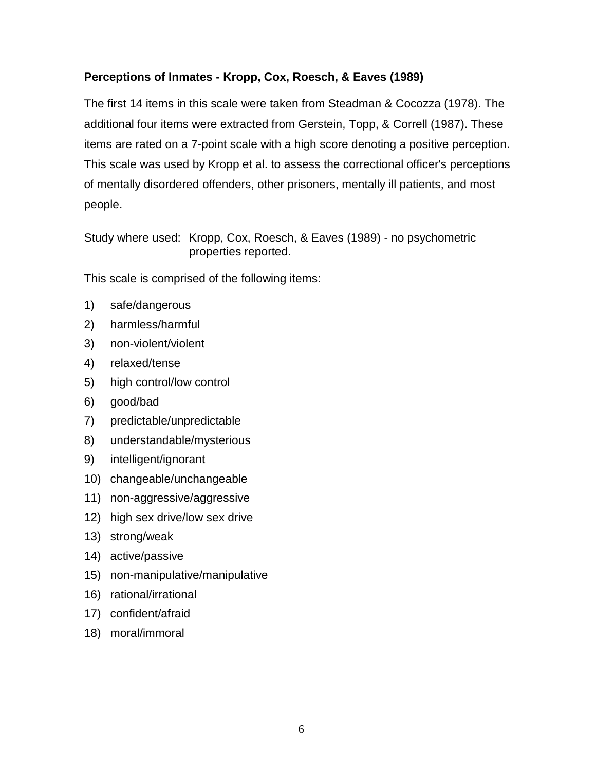## <span id="page-8-0"></span>**Perceptions of Inmates - Kropp, Cox, Roesch, & Eaves (1989)**

The first 14 items in this scale were taken from Steadman & Cocozza (1978). The additional four items were extracted from Gerstein, Topp, & Correll (1987). These items are rated on a 7-point scale with a high score denoting a positive perception. This scale was used by Kropp et al. to assess the correctional officer's perceptions of mentally disordered offenders, other prisoners, mentally ill patients, and most people.

Study where used: Kropp, Cox, Roesch, & Eaves (1989) - no psychometric properties reported.

- 1) safe/dangerous
- 2) harmless/harmful
- 3) non-violent/violent
- 4) relaxed/tense
- 5) high control/low control
- 6) good/bad
- 7) predictable/unpredictable
- 8) understandable/mysterious
- 9) intelligent/ignorant
- 10) changeable/unchangeable
- 11) non-aggressive/aggressive
- 12) high sex drive/low sex drive
- 13) strong/weak
- 14) active/passive
- 15) non-manipulative/manipulative
- 16) rational/irrational
- 17) confident/afraid
- 18) moral/immoral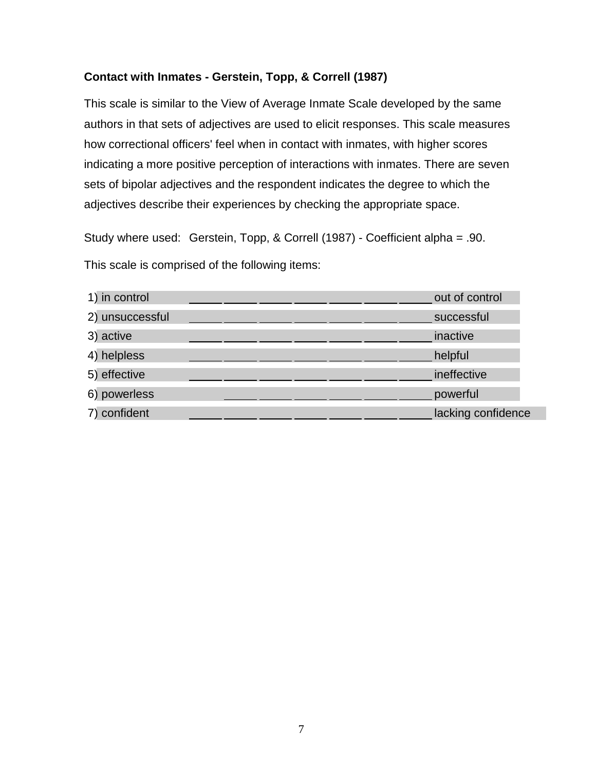### <span id="page-9-0"></span>**Contact with Inmates - Gerstein, Topp, & Correll (1987)**

This scale is similar to the View of Average Inmate Scale developed by the same authors in that sets of adjectives are used to elicit responses. This scale measures how correctional officers' feel when in contact with inmates, with higher scores indicating a more positive perception of interactions with inmates. There are seven sets of bipolar adjectives and the respondent indicates the degree to which the adjectives describe their experiences by checking the appropriate space.

Study where used: Gerstein, Topp, & Correll (1987) - Coefficient alpha = .90. This scale is comprised of the following items:

| 1) in control   | out of control     |
|-----------------|--------------------|
| 2) unsuccessful | successful         |
| 3) active       | inactive           |
| 4) helpless     | helpful            |
| 5) effective    | ineffective        |
| 6) powerless    | powerful           |
| 7) confident    | lacking confidence |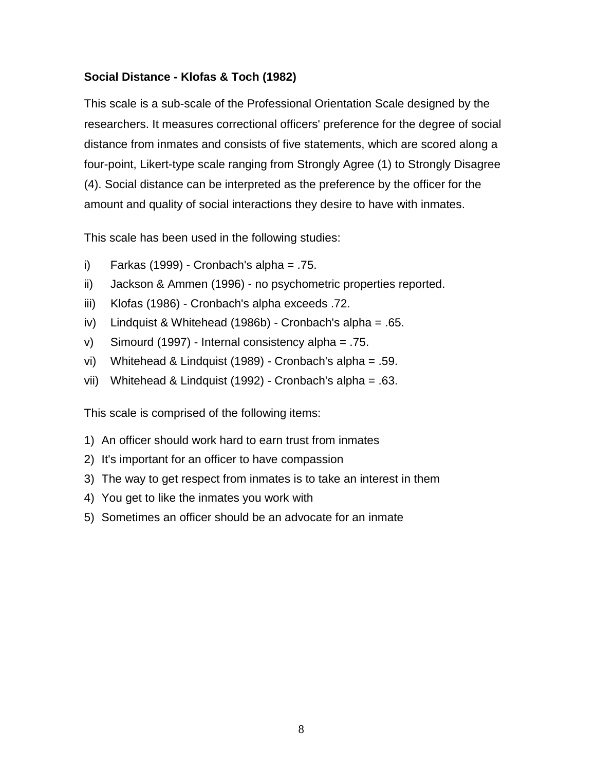## <span id="page-10-0"></span>**Social Distance - Klofas & Toch (1982)**

This scale is a sub-scale of the Professional Orientation Scale designed by the researchers. It measures correctional officers' preference for the degree of social distance from inmates and consists of five statements, which are scored along a four-point, Likert-type scale ranging from Strongly Agree (1) to Strongly Disagree (4). Social distance can be interpreted as the preference by the officer for the amount and quality of social interactions they desire to have with inmates.

This scale has been used in the following studies:

- i) Farkas (1999) Cronbach's alpha =  $.75$ .
- ii) Jackson & Ammen (1996) no psychometric properties reported.
- iii) Klofas (1986) Cronbach's alpha exceeds .72.
- iv) Lindquist & Whitehead (1986b) Cronbach's alpha = .65.
- v) Simourd (1997) Internal consistency alpha = .75.
- vi) Whitehead & Lindquist (1989) Cronbach's alpha = .59.
- vii) Whitehead & Lindquist (1992) Cronbach's alpha = .63.

- 1) An officer should work hard to earn trust from inmates
- 2) It's important for an officer to have compassion
- 3) The way to get respect from inmates is to take an interest in them
- 4) You get to like the inmates you work with
- 5) Sometimes an officer should be an advocate for an inmate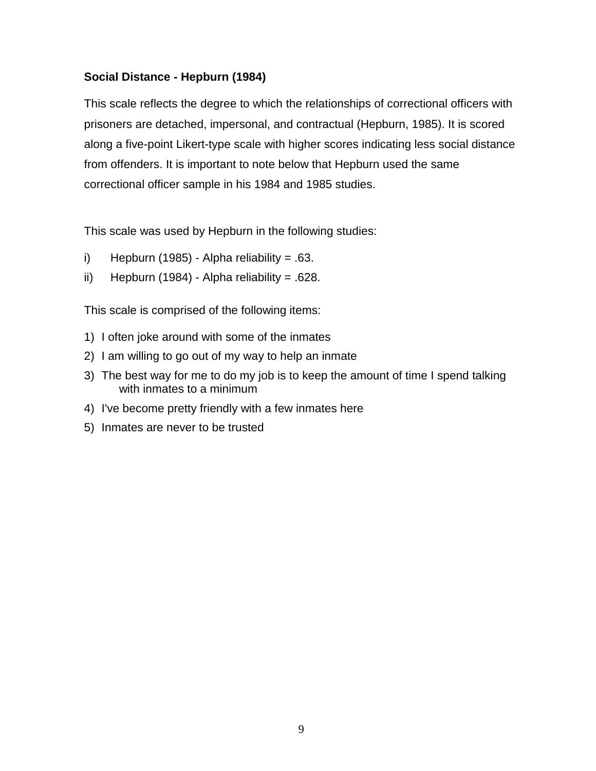## <span id="page-11-0"></span>**Social Distance - Hepburn (1984)**

This scale reflects the degree to which the relationships of correctional officers with prisoners are detached, impersonal, and contractual (Hepburn, 1985). It is scored along a five-point Likert-type scale with higher scores indicating less social distance from offenders. It is important to note below that Hepburn used the same correctional officer sample in his 1984 and 1985 studies.

This scale was used by Hepburn in the following studies:

- i) Hepburn (1985) Alpha reliability =  $.63$ .
- ii) Hepburn (1984) Alpha reliability =  $.628$ .

- 1) I often joke around with some of the inmates
- 2) I am willing to go out of my way to help an inmate
- 3) The best way for me to do my job is to keep the amount of time I spend talking with inmates to a minimum
- 4) I've become pretty friendly with a few inmates here
- 5) Inmates are never to be trusted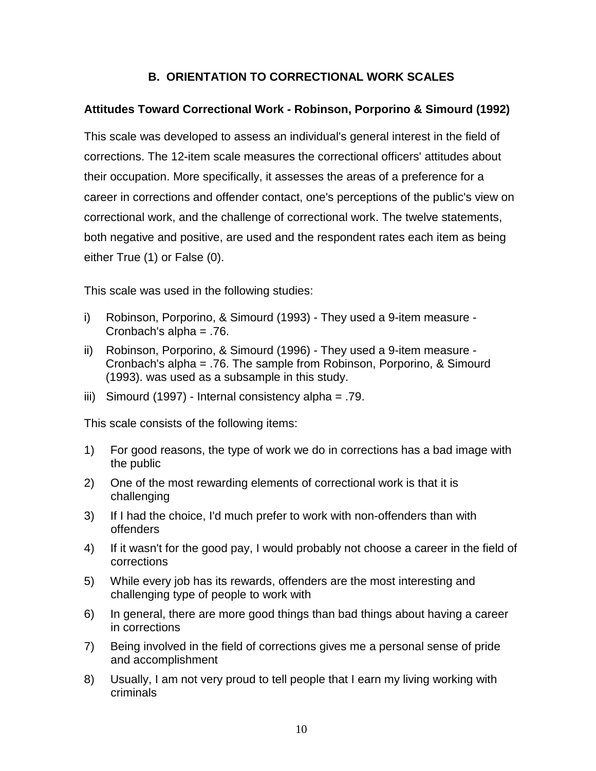### **B. ORIENTATION TO CORRECTIONAL WORK SCALES**

### <span id="page-12-0"></span>**Attitudes Toward Correctional Work - Robinson, Porporino & Simourd (1992)**

This scale was developed to assess an individual's general interest in the field of corrections. The 12-item scale measures the correctional officers' attitudes about their occupation. More specifically, it assesses the areas of a preference for a career in corrections and offender contact, one's perceptions of the public's view on correctional work, and the challenge of correctional work. The twelve statements, both negative and positive, are used and the respondent rates each item as being either True (1) or False (0).

This scale was used in the following studies:

- i) Robinson, Porporino, & Simourd (1993) They used a 9-item measure Cronbach's alpha = .76.
- ii) Robinson, Porporino, & Simourd (1996) They used a 9-item measure Cronbach's alpha = .76. The sample from Robinson, Porporino, & Simourd (1993). was used as a subsample in this study.
- iii) Simourd (1997) Internal consistency alpha = .79.

- 1) For good reasons, the type of work we do in corrections has a bad image with the public
- 2) One of the most rewarding elements of correctional work is that it is challenging
- 3) If I had the choice, I'd much prefer to work with non-offenders than with offenders
- 4) If it wasn't for the good pay, I would probably not choose a career in the field of corrections
- 5) While every job has its rewards, offenders are the most interesting and challenging type of people to work with
- 6) In general, there are more good things than bad things about having a career in corrections
- 7) Being involved in the field of corrections gives me a personal sense of pride and accomplishment
- 8) Usually, I am not very proud to tell people that I earn my living working with criminals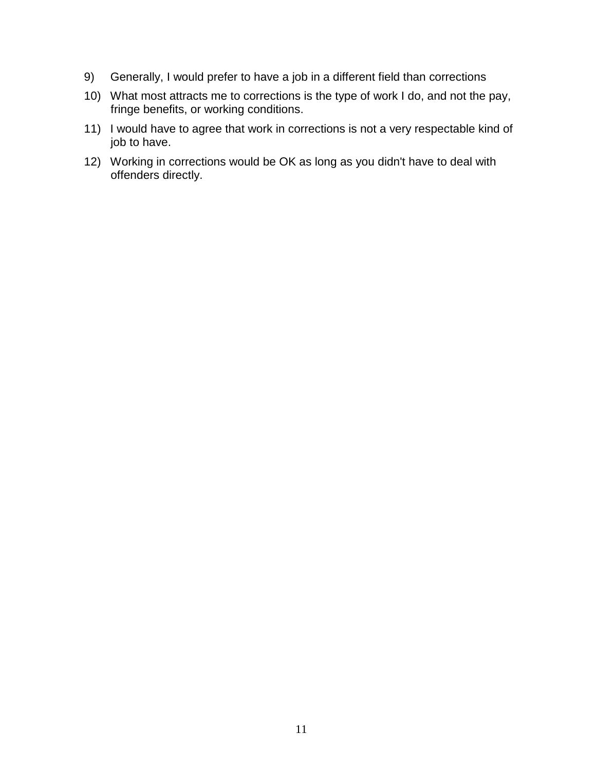- 9) Generally, I would prefer to have a job in a different field than corrections
- 10) What most attracts me to corrections is the type of work I do, and not the pay, fringe benefits, or working conditions.
- 11) I would have to agree that work in corrections is not a very respectable kind of job to have.
- 12) Working in corrections would be OK as long as you didn't have to deal with offenders directly.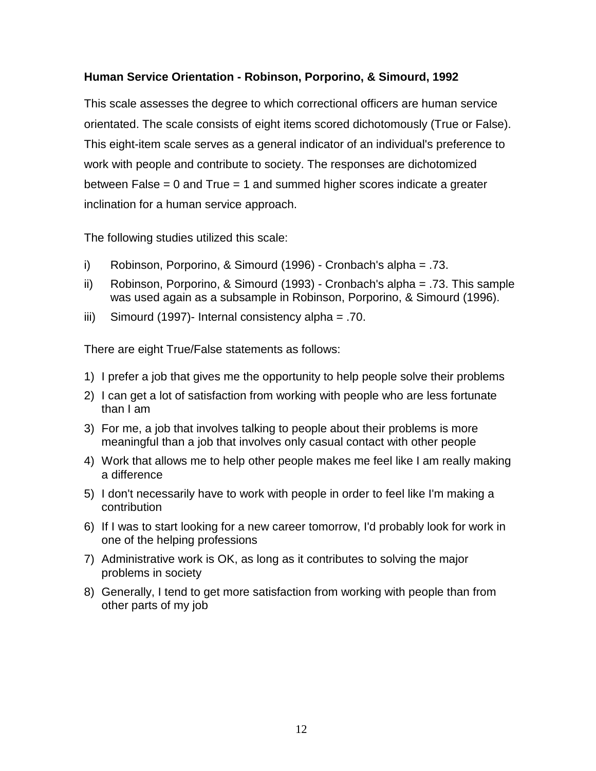### <span id="page-14-0"></span>**Human Service Orientation - Robinson, Porporino, & Simourd, 1992**

This scale assesses the degree to which correctional officers are human service orientated. The scale consists of eight items scored dichotomously (True or False). This eight-item scale serves as a general indicator of an individual's preference to work with people and contribute to society. The responses are dichotomized between False = 0 and True = 1 and summed higher scores indicate a greater inclination for a human service approach.

The following studies utilized this scale:

- i) Robinson, Porporino, & Simourd (1996) Cronbach's alpha = .73.
- ii) Robinson, Porporino, & Simourd (1993) Cronbach's alpha = .73. This sample was used again as a subsample in Robinson, Porporino, & Simourd (1996).
- iii) Simourd (1997)- Internal consistency alpha = .70.

There are eight True/False statements as follows:

- 1) I prefer a job that gives me the opportunity to help people solve their problems
- 2) I can get a lot of satisfaction from working with people who are less fortunate than I am
- 3) For me, a job that involves talking to people about their problems is more meaningful than a job that involves only casual contact with other people
- 4) Work that allows me to help other people makes me feel like I am really making a difference
- 5) I don't necessarily have to work with people in order to feel like I'm making a contribution
- 6) If I was to start looking for a new career tomorrow, I'd probably look for work in one of the helping professions
- 7) Administrative work is OK, as long as it contributes to solving the major problems in society
- 8) Generally, I tend to get more satisfaction from working with people than from other parts of my job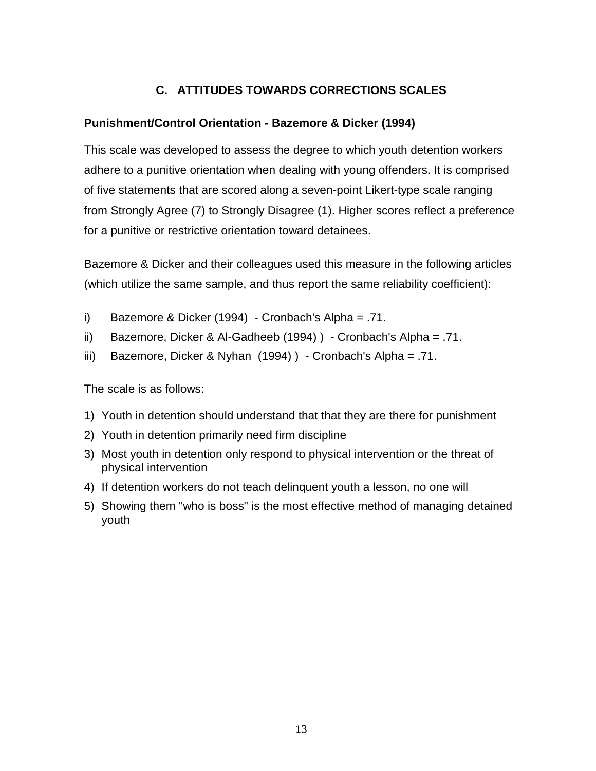# **C. ATTITUDES TOWARDS CORRECTIONS SCALES**

### <span id="page-15-0"></span>**Punishment/Control Orientation - Bazemore & Dicker (1994)**

This scale was developed to assess the degree to which youth detention workers adhere to a punitive orientation when dealing with young offenders. It is comprised of five statements that are scored along a seven-point Likert-type scale ranging from Strongly Agree (7) to Strongly Disagree (1). Higher scores reflect a preference for a punitive or restrictive orientation toward detainees.

Bazemore & Dicker and their colleagues used this measure in the following articles (which utilize the same sample, and thus report the same reliability coefficient):

- i) Bazemore & Dicker (1994) Cronbach's Alpha = .71.
- ii) Bazemore, Dicker & Al-Gadheeb (1994) ) Cronbach's Alpha = .71.
- iii) Bazemore, Dicker & Nyhan (1994) ) Cronbach's Alpha = .71.

The scale is as follows:

- 1) Youth in detention should understand that that they are there for punishment
- 2) Youth in detention primarily need firm discipline
- 3) Most youth in detention only respond to physical intervention or the threat of physical intervention
- 4) If detention workers do not teach delinquent youth a lesson, no one will
- 5) Showing them "who is boss" is the most effective method of managing detained youth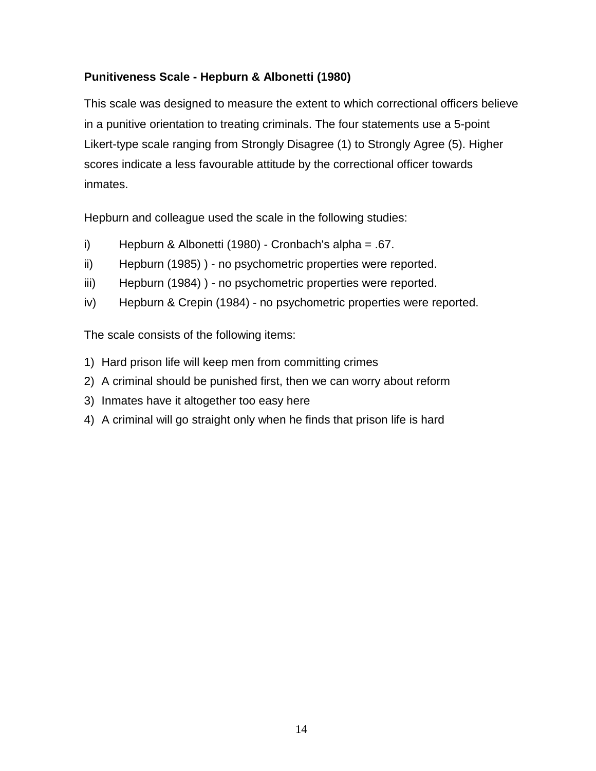## <span id="page-16-0"></span>**Punitiveness Scale - Hepburn & Albonetti (1980)**

This scale was designed to measure the extent to which correctional officers believe in a punitive orientation to treating criminals. The four statements use a 5-point Likert-type scale ranging from Strongly Disagree (1) to Strongly Agree (5). Higher scores indicate a less favourable attitude by the correctional officer towards inmates.

Hepburn and colleague used the scale in the following studies:

- i) Hepburn & Albonetti (1980) Cronbach's alpha = .67.
- ii) Hepburn (1985) ) no psychometric properties were reported.
- iii) Hepburn (1984) ) no psychometric properties were reported.
- iv) Hepburn & Crepin (1984) no psychometric properties were reported.

- 1) Hard prison life will keep men from committing crimes
- 2) A criminal should be punished first, then we can worry about reform
- 3) Inmates have it altogether too easy here
- 4) A criminal will go straight only when he finds that prison life is hard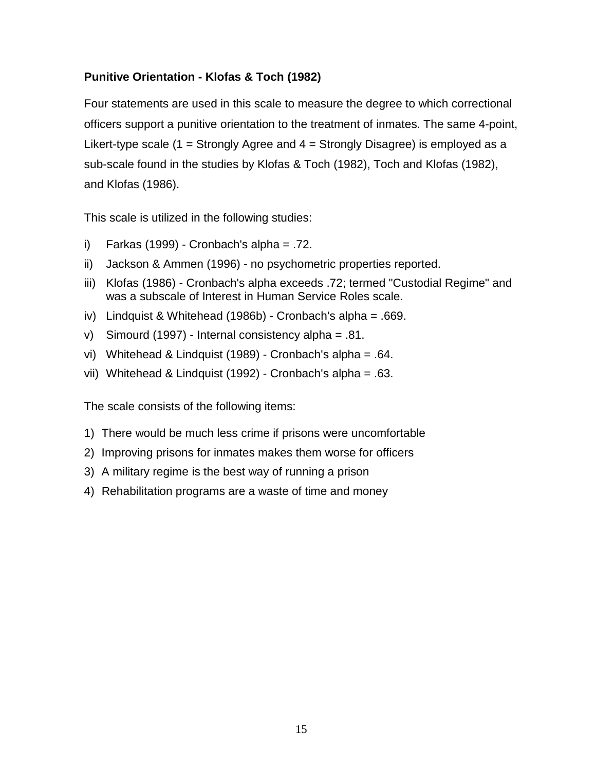## <span id="page-17-0"></span>**Punitive Orientation - Klofas & Toch (1982)**

Four statements are used in this scale to measure the degree to which correctional officers support a punitive orientation to the treatment of inmates. The same 4-point, Likert-type scale (1 = Strongly Agree and  $4$  = Strongly Disagree) is employed as a sub-scale found in the studies by Klofas & Toch (1982), Toch and Klofas (1982), and Klofas (1986).

This scale is utilized in the following studies:

- i) Farkas (1999) Cronbach's alpha = .72.
- ii) Jackson & Ammen (1996) no psychometric properties reported.
- iii) Klofas (1986) Cronbach's alpha exceeds .72; termed "Custodial Regime" and was a subscale of Interest in Human Service Roles scale.
- iv) Lindquist & Whitehead (1986b) Cronbach's alpha = .669.
- v) Simourd (1997) Internal consistency alpha = .81.
- vi) Whitehead & Lindquist (1989) Cronbach's alpha = .64.
- vii) Whitehead & Lindquist (1992) Cronbach's alpha = .63.

- 1) There would be much less crime if prisons were uncomfortable
- 2) Improving prisons for inmates makes them worse for officers
- 3) A military regime is the best way of running a prison
- 4) Rehabilitation programs are a waste of time and money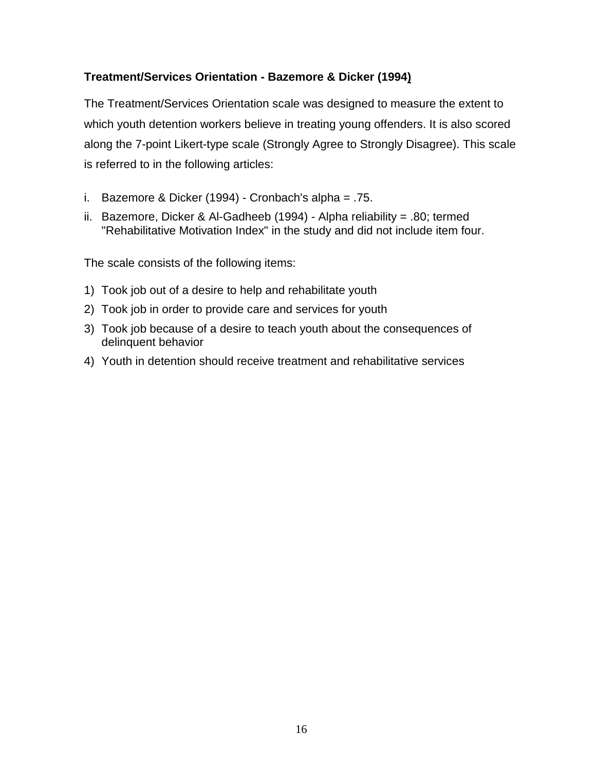## **Treatment/Services Orientation - Bazemore & Dicker (1994)**

The Treatment/Services Orientation scale was designed to measure the extent to which youth detention workers believe in treating young offenders. It is also scored along the 7-point Likert-type scale (Strongly Agree to Strongly Disagree). This scale is referred to in the following articles:

- i. Bazemore & Dicker (1994) Cronbach's alpha = .75.
- ii. Bazemore, Dicker & Al-Gadheeb (1994) Alpha reliability = .80; termed "Rehabilitative Motivation Index" in the study and did not include item four.

- 1) Took job out of a desire to help and rehabilitate youth
- 2) Took job in order to provide care and services for youth
- 3) Took job because of a desire to teach youth about the consequences of delinquent behavior
- 4) Youth in detention should receive treatment and rehabilitative services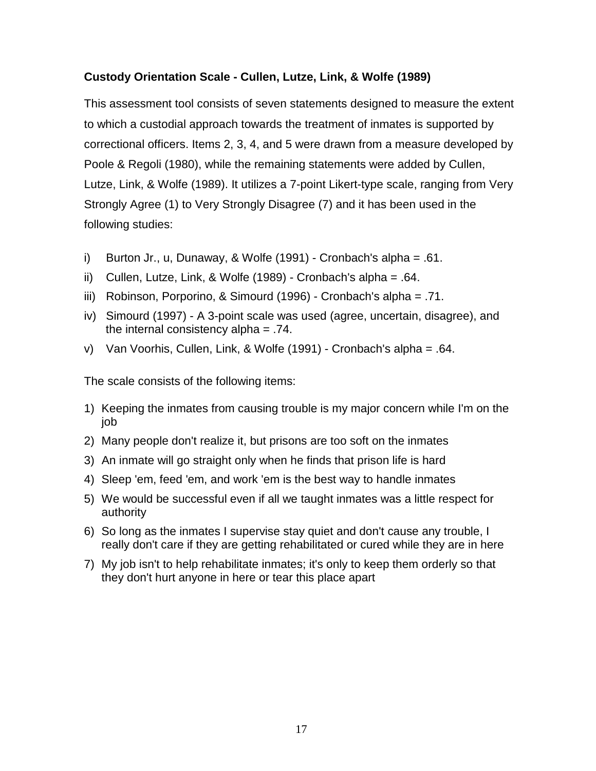### <span id="page-19-0"></span>**Custody Orientation Scale - Cullen, Lutze, Link, & Wolfe (1989)**

This assessment tool consists of seven statements designed to measure the extent to which a custodial approach towards the treatment of inmates is supported by correctional officers. Items 2, 3, 4, and 5 were drawn from a measure developed by Poole & Regoli (1980), while the remaining statements were added by Cullen, Lutze, Link, & Wolfe (1989). It utilizes a 7-point Likert-type scale, ranging from Very Strongly Agree (1) to Very Strongly Disagree (7) and it has been used in the following studies:

- i) Burton Jr., u, Dunaway, & Wolfe (1991) Cronbach's alpha = .61.
- ii) Cullen, Lutze, Link, & Wolfe (1989) Cronbach's alpha = .64.
- iii) Robinson, Porporino, & Simourd (1996) Cronbach's alpha = .71.
- iv) Simourd (1997) A 3-point scale was used (agree, uncertain, disagree), and the internal consistency alpha = .74.
- v) Van Voorhis, Cullen, Link, & Wolfe (1991) Cronbach's alpha = .64.

- 1) Keeping the inmates from causing trouble is my major concern while I'm on the job
- 2) Many people don't realize it, but prisons are too soft on the inmates
- 3) An inmate will go straight only when he finds that prison life is hard
- 4) Sleep 'em, feed 'em, and work 'em is the best way to handle inmates
- 5) We would be successful even if all we taught inmates was a little respect for authority
- 6) So long as the inmates I supervise stay quiet and don't cause any trouble, I really don't care if they are getting rehabilitated or cured while they are in here
- 7) My job isn't to help rehabilitate inmates; it's only to keep them orderly so that they don't hurt anyone in here or tear this place apart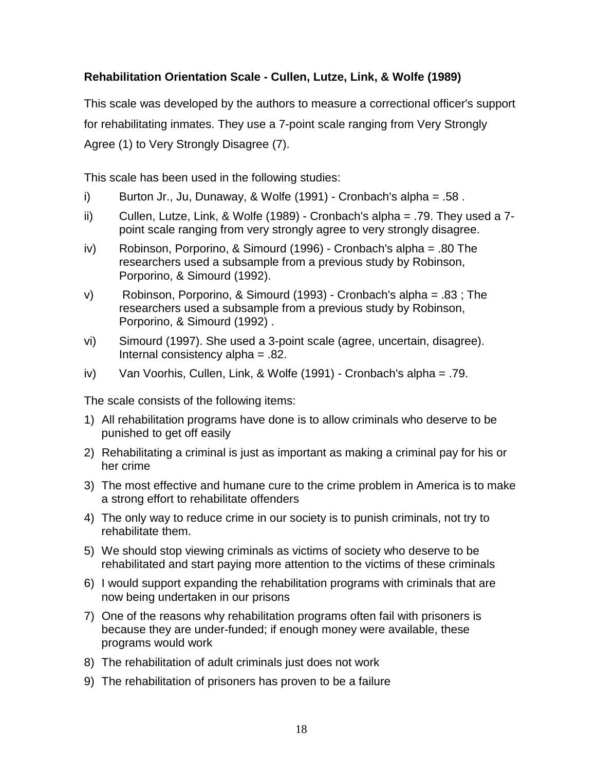## <span id="page-20-0"></span>**Rehabilitation Orientation Scale - Cullen, Lutze, Link, & Wolfe (1989)**

This scale was developed by the authors to measure a correctional officer's support for rehabilitating inmates. They use a 7-point scale ranging from Very Strongly Agree (1) to Very Strongly Disagree (7).

This scale has been used in the following studies:

- i) Burton Jr., Ju, Dunaway, & Wolfe (1991) Cronbach's alpha = .58 .
- ii) Cullen, Lutze, Link, & Wolfe (1989) Cronbach's alpha = .79. They used a 7 point scale ranging from very strongly agree to very strongly disagree.
- iv) Robinson, Porporino, & Simourd (1996) Cronbach's alpha = .80 The researchers used a subsample from a previous study by Robinson, Porporino, & Simourd (1992).
- v) Robinson, Porporino, & Simourd (1993) Cronbach's alpha = .83 ; The researchers used a subsample from a previous study by Robinson, Porporino, & Simourd (1992) .
- vi) Simourd (1997). She used a 3-point scale (agree, uncertain, disagree). Internal consistency alpha = .82.
- iv) Van Voorhis, Cullen, Link, & Wolfe (1991) Cronbach's alpha = .79.

- 1) All rehabilitation programs have done is to allow criminals who deserve to be punished to get off easily
- 2) Rehabilitating a criminal is just as important as making a criminal pay for his or her crime
- 3) The most effective and humane cure to the crime problem in America is to make a strong effort to rehabilitate offenders
- 4) The only way to reduce crime in our society is to punish criminals, not try to rehabilitate them.
- 5) We should stop viewing criminals as victims of society who deserve to be rehabilitated and start paying more attention to the victims of these criminals
- 6) I would support expanding the rehabilitation programs with criminals that are now being undertaken in our prisons
- 7) One of the reasons why rehabilitation programs often fail with prisoners is because they are under-funded; if enough money were available, these programs would work
- 8) The rehabilitation of adult criminals just does not work
- 9) The rehabilitation of prisoners has proven to be a failure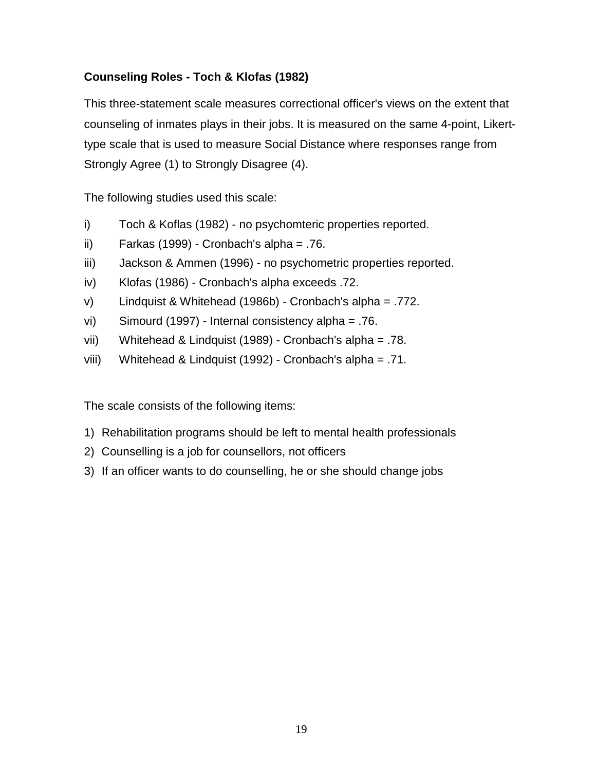## <span id="page-21-0"></span>**Counseling Roles - Toch & Klofas (1982)**

This three-statement scale measures correctional officer's views on the extent that counseling of inmates plays in their jobs. It is measured on the same 4-point, Likerttype scale that is used to measure Social Distance where responses range from Strongly Agree (1) to Strongly Disagree (4).

The following studies used this scale:

- i) Toch & Koflas (1982) no psychomteric properties reported.
- ii) Farkas (1999) Cronbach's alpha = .76.
- iii) Jackson & Ammen (1996) no psychometric properties reported.
- iv) Klofas (1986) Cronbach's alpha exceeds .72.
- v) Lindquist & Whitehead (1986b) Cronbach's alpha = .772.
- vi) Simourd (1997) Internal consistency alpha = .76.
- vii) Whitehead & Lindquist (1989) Cronbach's alpha = .78.
- viii) Whitehead & Lindquist (1992) Cronbach's alpha = .71.

- 1) Rehabilitation programs should be left to mental health professionals
- 2) Counselling is a job for counsellors, not officers
- 3) If an officer wants to do counselling, he or she should change jobs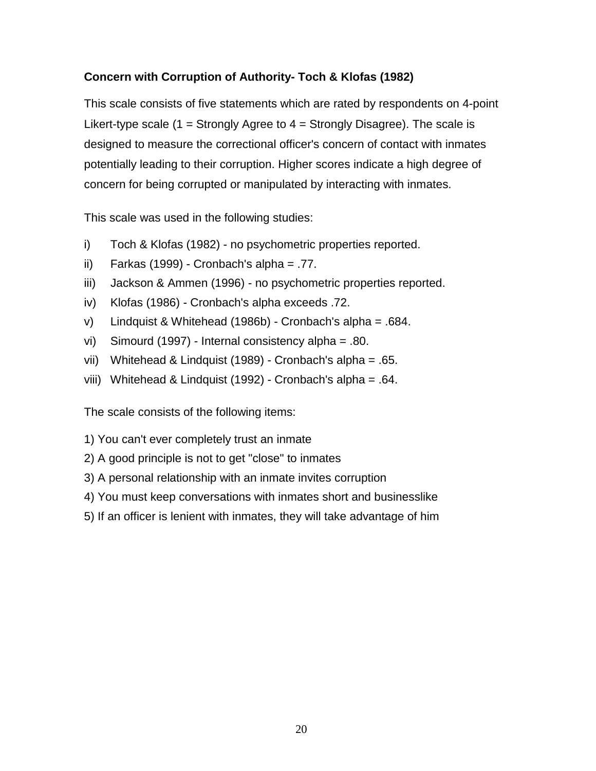## <span id="page-22-0"></span>**Concern with Corruption of Authority- Toch & Klofas (1982)**

This scale consists of five statements which are rated by respondents on 4-point Likert-type scale (1 = Strongly Agree to  $4$  = Strongly Disagree). The scale is designed to measure the correctional officer's concern of contact with inmates potentially leading to their corruption. Higher scores indicate a high degree of concern for being corrupted or manipulated by interacting with inmates.

This scale was used in the following studies:

- i) Toch & Klofas (1982) no psychometric properties reported.
- ii) Farkas (1999) Cronbach's alpha = .77.
- iii) Jackson & Ammen (1996) no psychometric properties reported.
- iv) Klofas (1986) Cronbach's alpha exceeds .72.
- v) Lindquist & Whitehead (1986b) Cronbach's alpha = .684.
- vi) Simourd (1997) Internal consistency alpha = .80.
- vii) Whitehead & Lindquist (1989) Cronbach's alpha = .65.
- viii) Whitehead & Lindquist (1992) Cronbach's alpha = .64.

- 1) You can't ever completely trust an inmate
- 2) A good principle is not to get "close" to inmates
- 3) A personal relationship with an inmate invites corruption
- 4) You must keep conversations with inmates short and businesslike
- 5) If an officer is lenient with inmates, they will take advantage of him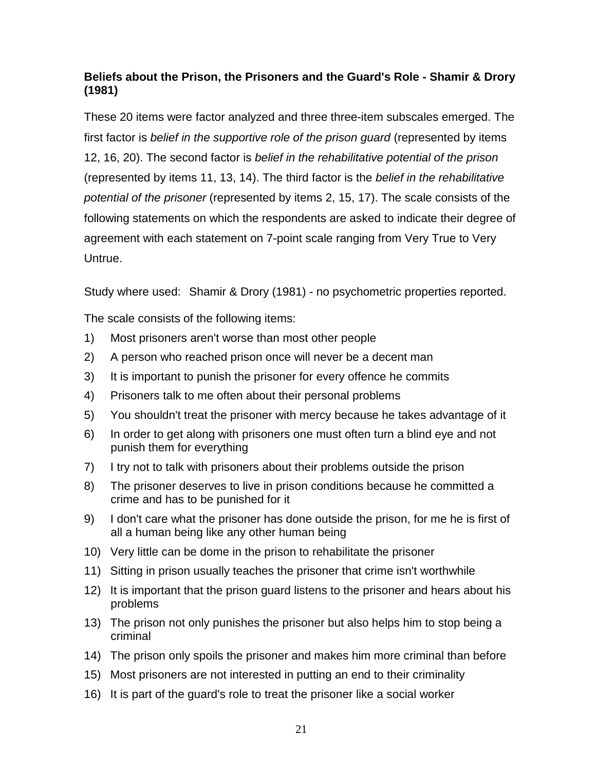## <span id="page-23-0"></span>**Beliefs about the Prison, the Prisoners and the Guard's Role - Shamir & Drory (1981)**

These 20 items were factor analyzed and three three-item subscales emerged. The first factor is *belief in the supportive role of the prison guard* (represented by items 12, 16, 20). The second factor is *belief in the rehabilitative potential of the prison* (represented by items 11, 13, 14). The third factor is the *belief in the rehabilitative potential of the prisoner* (represented by items 2, 15, 17). The scale consists of the following statements on which the respondents are asked to indicate their degree of agreement with each statement on 7-point scale ranging from Very True to Very Untrue.

Study where used: Shamir & Drory (1981) - no psychometric properties reported.

- 1) Most prisoners aren't worse than most other people
- 2) A person who reached prison once will never be a decent man
- 3) It is important to punish the prisoner for every offence he commits
- 4) Prisoners talk to me often about their personal problems
- 5) You shouldn't treat the prisoner with mercy because he takes advantage of it
- 6) In order to get along with prisoners one must often turn a blind eye and not punish them for everything
- 7) I try not to talk with prisoners about their problems outside the prison
- 8) The prisoner deserves to live in prison conditions because he committed a crime and has to be punished for it
- 9) I don't care what the prisoner has done outside the prison, for me he is first of all a human being like any other human being
- 10) Very little can be dome in the prison to rehabilitate the prisoner
- 11) Sitting in prison usually teaches the prisoner that crime isn't worthwhile
- 12) It is important that the prison guard listens to the prisoner and hears about his problems
- 13) The prison not only punishes the prisoner but also helps him to stop being a criminal
- 14) The prison only spoils the prisoner and makes him more criminal than before
- 15) Most prisoners are not interested in putting an end to their criminality
- 16) It is part of the guard's role to treat the prisoner like a social worker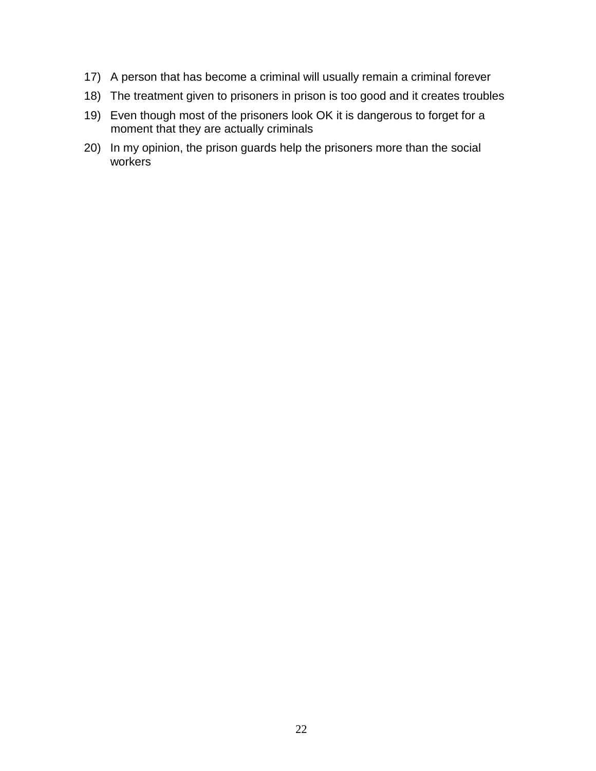- 17) A person that has become a criminal will usually remain a criminal forever
- 18) The treatment given to prisoners in prison is too good and it creates troubles
- 19) Even though most of the prisoners look OK it is dangerous to forget for a moment that they are actually criminals
- 20) In my opinion, the prison guards help the prisoners more than the social workers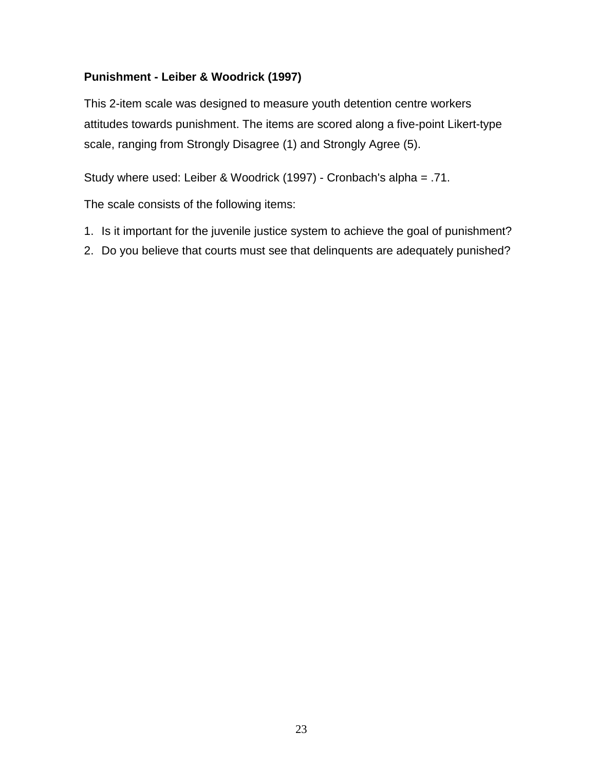## <span id="page-25-0"></span>**Punishment - Leiber & Woodrick (1997)**

This 2-item scale was designed to measure youth detention centre workers attitudes towards punishment. The items are scored along a five-point Likert-type scale, ranging from Strongly Disagree (1) and Strongly Agree (5).

Study where used: Leiber & Woodrick (1997) - Cronbach's alpha = .71.

- 1. Is it important for the juvenile justice system to achieve the goal of punishment?
- 2. Do you believe that courts must see that delinquents are adequately punished?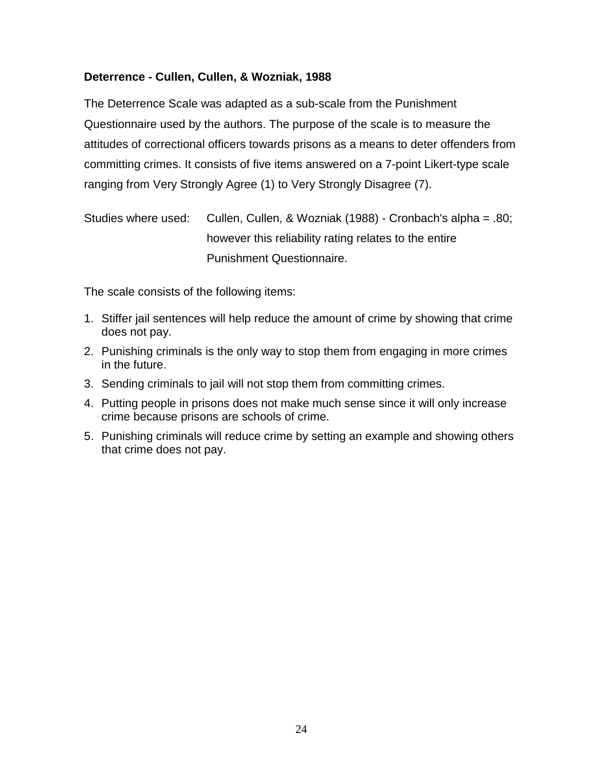### <span id="page-26-0"></span>**Deterrence - Cullen, Cullen, & Wozniak, 1988**

The Deterrence Scale was adapted as a sub-scale from the Punishment Questionnaire used by the authors. The purpose of the scale is to measure the attitudes of correctional officers towards prisons as a means to deter offenders from committing crimes. It consists of five items answered on a 7-point Likert-type scale ranging from Very Strongly Agree (1) to Very Strongly Disagree (7).

```
Studies where used: Cullen, Cullen, & Wozniak (1988) - Cronbach's alpha = .80;
           however this reliability rating relates to the entire
           Punishment Questionnaire.
```
- 1. Stiffer jail sentences will help reduce the amount of crime by showing that crime does not pay.
- 2. Punishing criminals is the only way to stop them from engaging in more crimes in the future.
- 3. Sending criminals to jail will not stop them from committing crimes.
- 4. Putting people in prisons does not make much sense since it will only increase crime because prisons are schools of crime.
- 5. Punishing criminals will reduce crime by setting an example and showing others that crime does not pay.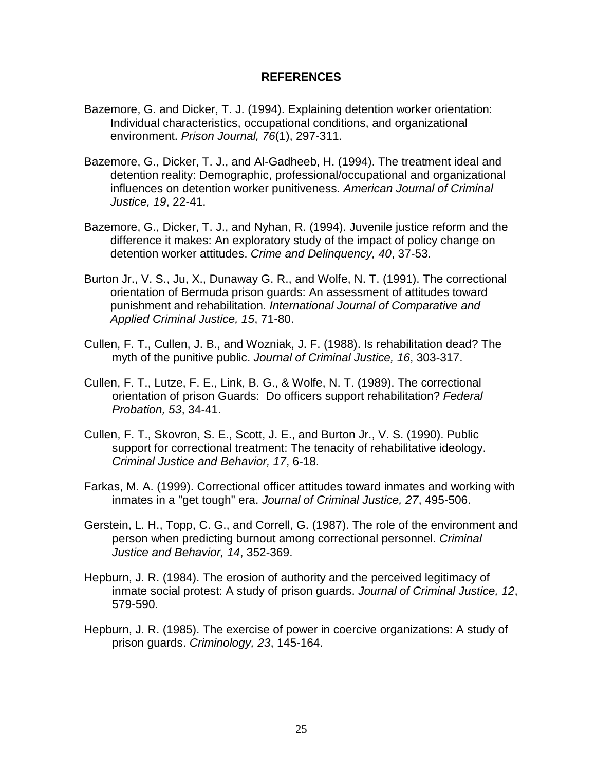#### **REFERENCES**

- <span id="page-27-0"></span>Bazemore, G. and Dicker, T. J. (1994). Explaining detention worker orientation: Individual characteristics, occupational conditions, and organizational environment. *Prison Journal, 76*(1), 297-311.
- Bazemore, G., Dicker, T. J., and Al-Gadheeb, H. (1994). The treatment ideal and detention reality: Demographic, professional/occupational and organizational influences on detention worker punitiveness. *American Journal of Criminal Justice, 19*, 22-41.
- Bazemore, G., Dicker, T. J., and Nyhan, R. (1994). Juvenile justice reform and the difference it makes: An exploratory study of the impact of policy change on detention worker attitudes. *Crime and Delinquency, 40*, 37-53.
- Burton Jr., V. S., Ju, X., Dunaway G. R., and Wolfe, N. T. (1991). The correctional orientation of Bermuda prison guards: An assessment of attitudes toward punishment and rehabilitation. *International Journal of Comparative and Applied Criminal Justice, 15*, 71-80.
- Cullen, F. T., Cullen, J. B., and Wozniak, J. F. (1988). Is rehabilitation dead? The myth of the punitive public. *Journal of Criminal Justice, 16*, 303-317.
- Cullen, F. T., Lutze, F. E., Link, B. G., & Wolfe, N. T. (1989). The correctional orientation of prison Guards: Do officers support rehabilitation? *Federal Probation, 53*, 34-41.
- Cullen, F. T., Skovron, S. E., Scott, J. E., and Burton Jr., V. S. (1990). Public support for correctional treatment: The tenacity of rehabilitative ideology. *Criminal Justice and Behavior, 17*, 6-18.
- Farkas, M. A. (1999). Correctional officer attitudes toward inmates and working with inmates in a "get tough" era. *Journal of Criminal Justice, 27*, 495-506.
- Gerstein, L. H., Topp, C. G., and Correll, G. (1987). The role of the environment and person when predicting burnout among correctional personnel. *Criminal Justice and Behavior, 14*, 352-369.
- Hepburn, J. R. (1984). The erosion of authority and the perceived legitimacy of inmate social protest: A study of prison guards. *Journal of Criminal Justice, 12*, 579-590.
- Hepburn, J. R. (1985). The exercise of power in coercive organizations: A study of prison guards. *Criminology, 23*, 145-164.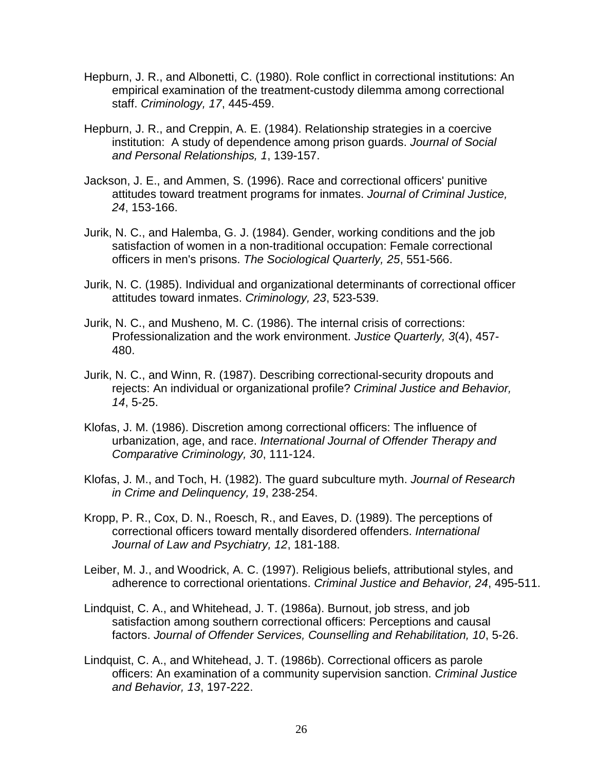- Hepburn, J. R., and Albonetti, C. (1980). Role conflict in correctional institutions: An empirical examination of the treatment-custody dilemma among correctional staff. *Criminology, 17*, 445-459.
- Hepburn, J. R., and Creppin, A. E. (1984). Relationship strategies in a coercive institution: A study of dependence among prison guards. *Journal of Social and Personal Relationships, 1*, 139-157.
- Jackson, J. E., and Ammen, S. (1996). Race and correctional officers' punitive attitudes toward treatment programs for inmates. *Journal of Criminal Justice, 24*, 153-166.
- Jurik, N. C., and Halemba, G. J. (1984). Gender, working conditions and the job satisfaction of women in a non-traditional occupation: Female correctional officers in men's prisons. *The Sociological Quarterly, 25*, 551-566.
- Jurik, N. C. (1985). Individual and organizational determinants of correctional officer attitudes toward inmates. *Criminology, 23*, 523-539.
- Jurik, N. C., and Musheno, M. C. (1986). The internal crisis of corrections: Professionalization and the work environment. *Justice Quarterly, 3*(4), 457- 480.
- Jurik, N. C., and Winn, R. (1987). Describing correctional-security dropouts and rejects: An individual or organizational profile? *Criminal Justice and Behavior, 14*, 5-25.
- Klofas, J. M. (1986). Discretion among correctional officers: The influence of urbanization, age, and race. *International Journal of Offender Therapy and Comparative Criminology, 30*, 111-124.
- Klofas, J. M., and Toch, H. (1982). The guard subculture myth. *Journal of Research in Crime and Delinquency, 19*, 238-254.
- Kropp, P. R., Cox, D. N., Roesch, R., and Eaves, D. (1989). The perceptions of correctional officers toward mentally disordered offenders. *International Journal of Law and Psychiatry, 12*, 181-188.
- Leiber, M. J., and Woodrick, A. C. (1997). Religious beliefs, attributional styles, and adherence to correctional orientations. *Criminal Justice and Behavior, 24*, 495-511.
- Lindquist, C. A., and Whitehead, J. T. (1986a). Burnout, job stress, and job satisfaction among southern correctional officers: Perceptions and causal factors. *Journal of Offender Services, Counselling and Rehabilitation, 10*, 5-26.
- Lindquist, C. A., and Whitehead, J. T. (1986b). Correctional officers as parole officers: An examination of a community supervision sanction. *Criminal Justice and Behavior, 13*, 197-222.